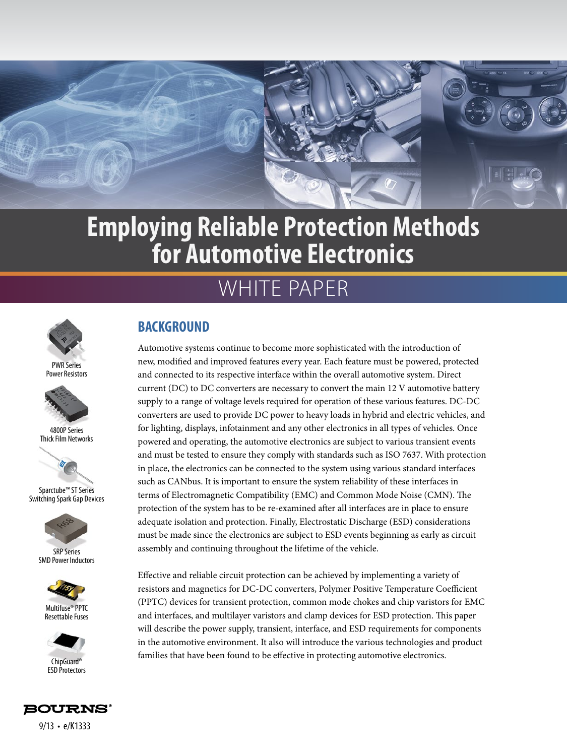

# WHITE PAPER



Power Resistors







Sparctube™ ST Series Switching Spark Gap Devices



SMD Power Inductors



Resettable Fuses



## **BACKGROUND**

Automotive systems continue to become more sophisticated with the introduction of new, modified and improved features every year. Each feature must be powered, protected and connected to its respective interface within the overall automotive system. Direct current (DC) to DC converters are necessary to convert the main 12 V automotive battery supply to a range of voltage levels required for operation of these various features. DC-DC converters are used to provide DC power to heavy loads in hybrid and electric vehicles, and for lighting, displays, infotainment and any other electronics in all types of vehicles. Once powered and operating, the automotive electronics are subject to various transient events and must be tested to ensure they comply with standards such as ISO 7637. With protection in place, the electronics can be connected to the system using various standard interfaces such as CANbus. It is important to ensure the system reliability of these interfaces in terms of Electromagnetic Compatibility (EMC) and Common Mode Noise (CMN). The protection of the system has to be re-examined after all interfaces are in place to ensure adequate isolation and protection. Finally, Electrostatic Discharge (ESD) considerations must be made since the electronics are subject to ESD events beginning as early as circuit assembly and continuing throughout the lifetime of the vehicle.

Effective and reliable circuit protection can be achieved by implementing a variety of resistors and magnetics for DC-DC converters, Polymer Positive Temperature Coefficient (PPTC) devices for transient protection, common mode chokes and chip varistors for EMC and interfaces, and multilayer varistors and clamp devices for ESD protection. This paper will describe the power supply, transient, interface, and ESD requirements for components in the automotive environment. It also will introduce the various technologies and product families that have been found to be effective in protecting automotive electronics.

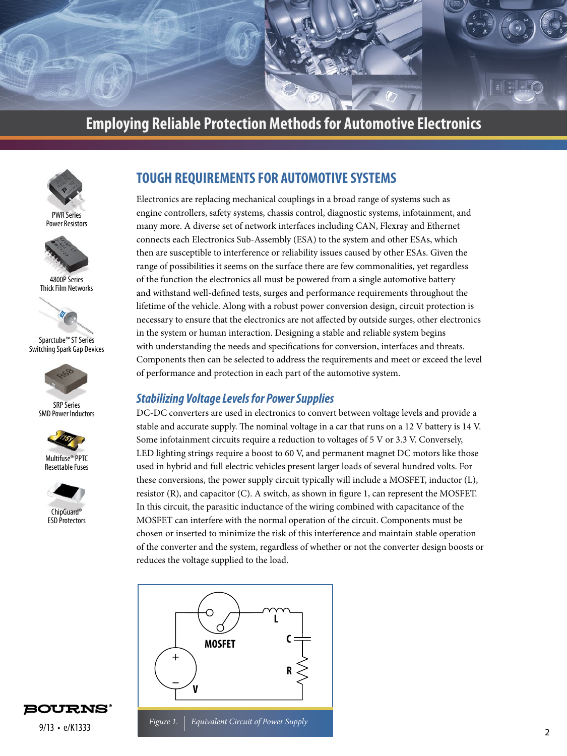



PWR Series Power Resistors



4800P Series Thick Film Networks



Sparctube™ ST Series Switching Spark Gap Devices



SRP Series SMD Power Inductors







ChipGuard® **ESD** Protectors

### **TOUGH REQUIREMENTS FOR AUTOMOTIVE SYSTEMS**

Electronics are replacing mechanical couplings in a broad range of systems such as engine controllers, safety systems, chassis control, diagnostic systems, infotainment, and many more. A diverse set of network interfaces including CAN, Flexray and Ethernet connects each Electronics Sub-Assembly (ESA) to the system and other ESAs, which then are susceptible to interference or reliability issues caused by other ESAs. Given the range of possibilities it seems on the surface there are few commonalities, yet regardless of the function the electronics all must be powered from a single automotive battery and withstand well-defined tests, surges and performance requirements throughout the lifetime of the vehicle. Along with a robust power conversion design, circuit protection is necessary to ensure that the electronics are not affected by outside surges, other electronics in the system or human interaction. Designing a stable and reliable system begins with understanding the needs and specifications for conversion, interfaces and threats. Components then can be selected to address the requirements and meet or exceed the level of performance and protection in each part of the automotive system.

#### *Stabilizing Voltage Levels for Power Supplies*

DC-DC converters are used in electronics to convert between voltage levels and provide a stable and accurate supply. The nominal voltage in a car that runs on a 12 V battery is 14 V. Some infotainment circuits require a reduction to voltages of 5 V or 3.3 V. Conversely, LED lighting strings require a boost to 60 V, and permanent magnet DC motors like those used in hybrid and full electric vehicles present larger loads of several hundred volts. For these conversions, the power supply circuit typically will include a MOSFET, inductor (L), resistor (R), and capacitor (C). A switch, as shown in figure 1, can represent the MOSFET. In this circuit, the parasitic inductance of the wiring combined with capacitance of the MOSFET can interfere with the normal operation of the circuit. Components must be chosen or inserted to minimize the risk of this interference and maintain stable operation of the converter and the system, regardless of whether or not the converter design boosts or reduces the voltage supplied to the load.



**BOURNS**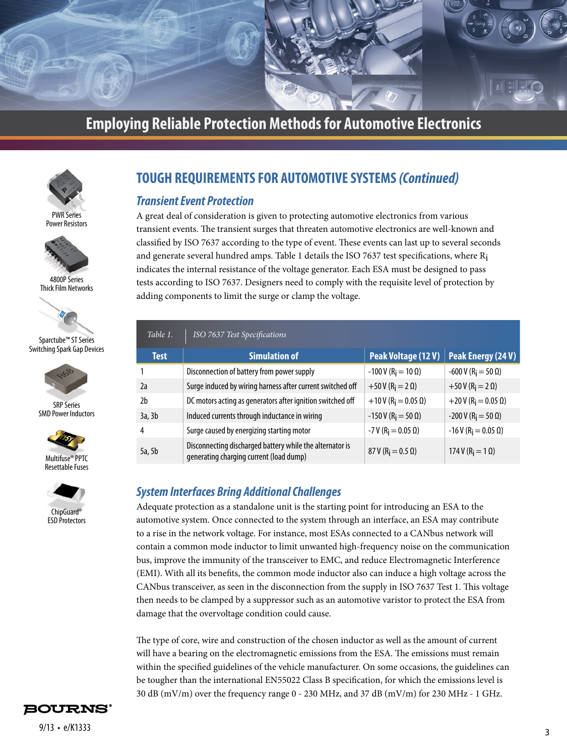



Power Resistors



4800P Series Thick Film Networks



Sparctube™ ST Series Switching Spark Gap Devices



SRP Series SMD Power Inductors







### **TOUGH REQUIREMENTS FOR AUTOMOTIVE SYSTEMS** *(Continued)*

#### *Transient Event Protection*

A great deal of consideration is given to protecting automotive electronics from various transient events. The transient surges that threaten automotive electronics are well-known and classified by ISO 7637 according to the type of event. These events can last up to several seconds and generate several hundred amps. Table 1 details the ISO 7637 test specifications, where  $R_i$ indicates the internal resistance of the voltage generator. Each ESA must be designed to pass tests according to ISO 7637. Designers need to comply with the requisite level of protection by adding components to limit the surge or clamp the voltage.

| Table 1.    | ISO 7637 Test Specifications                                                                        |                                          |                                           |
|-------------|-----------------------------------------------------------------------------------------------------|------------------------------------------|-------------------------------------------|
| <b>Test</b> | <b>Simulation of</b>                                                                                | Peak Voltage (12 V)                      | Peak Energy (24 V)                        |
|             | Disconnection of battery from power supply                                                          | $-100$ V (R <sub>i</sub> = 10 Ω)         | $-600$ V (R <sub>i</sub> = 50 Ω)          |
| 2a          | Surge induced by wiring harness after current switched off                                          | $+50V$ (R <sub>i</sub> = 2 $\Omega$ )    | $+50V$ (R <sub>i</sub> = 2 $\Omega$ )     |
| 2h          | DC motors acting as generators after ignition switched off                                          | $+10V$ (R <sub>i</sub> = 0.05 $\Omega$ ) | $+20$ V (R <sub>i</sub> = 0.05 $\Omega$ ) |
| 3a, 3b      | Induced currents through inductance in wiring                                                       | $-150$ V (R <sub>i</sub> = 50 $\Omega$ ) | $-200$ V (R <sub>i</sub> = 50 Ω)          |
| 4           | Surge caused by energizing starting motor                                                           | $-7$ V (R <sub>i</sub> = 0.05 $\Omega$ ) | $-16$ V (R <sub>i</sub> = 0.05 $\Omega$ ) |
| 5a, 5b      | Disconnecting discharged battery while the alternator is<br>generating charging current (load dump) | 87 V (R <sub>i</sub> = 0.5 $\Omega$ )    | 174 V ( $R_i = 1 \Omega$ )                |

#### *System Interfaces Bring Additional Challenges*

Adequate protection as a standalone unit is the starting point for introducing an ESA to the automotive system. Once connected to the system through an interface, an ESA may contribute to a rise in the network voltage. For instance, most ESAs connected to a CANbus network will contain a common mode inductor to limit unwanted high-frequency noise on the communication bus, improve the immunity of the transceiver to EMC, and reduce Electromagnetic Interference (EMI). With all its benefits, the common mode inductor also can induce a high voltage across the CANbus transceiver, as seen in the disconnection from the supply in ISO 7637 Test 1. This voltage then needs to be clamped by a suppressor such as an automotive varistor to protect the ESA from damage that the overvoltage condition could cause.

The type of core, wire and construction of the chosen inductor as well as the amount of current will have a bearing on the electromagnetic emissions from the ESA. The emissions must remain within the specified guidelines of the vehicle manufacturer. On some occasions, the guidelines can be tougher than the international EN55022 Class B specification, for which the emissions level is 30 dB (mV/m) over the frequency range 0 - 230 MHz, and 37 dB (mV/m) for 230 MHz - 1 GHz.

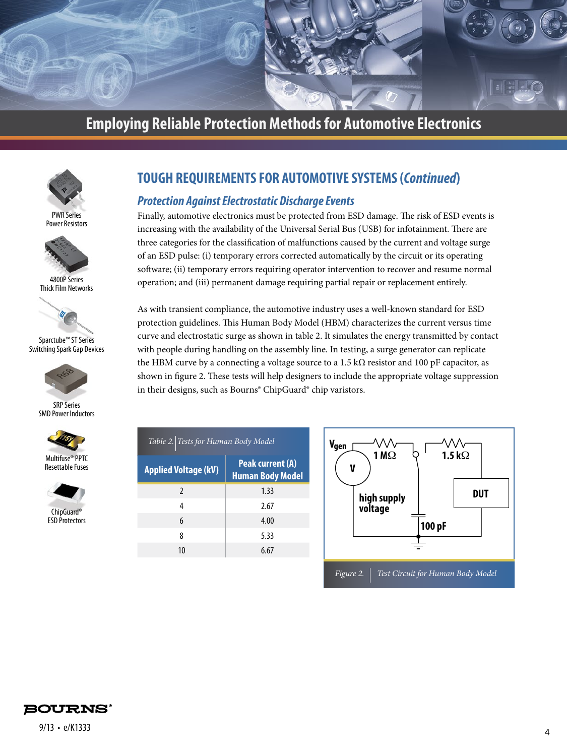



PWR Series Power Resistors



4800P Series Thick Film Networks



Sparctube™ ST Series Switching Spark Gap Devices



SRP Series SMD Power Inductors





ChipGuard® ESD Protectors

### **TOUGH REQUIREMENTS FOR AUTOMOTIVE SYSTEMS (***Continued***)**

#### *Protection Against Electrostatic Discharge Events*

Finally, automotive electronics must be protected from ESD damage. The risk of ESD events is increasing with the availability of the Universal Serial Bus (USB) for infotainment. There are three categories for the classification of malfunctions caused by the current and voltage surge of an ESD pulse: (i) temporary errors corrected automatically by the circuit or its operating software; (ii) temporary errors requiring operator intervention to recover and resume normal operation; and (iii) permanent damage requiring partial repair or replacement entirely.

As with transient compliance, the automotive industry uses a well-known standard for ESD protection guidelines. This Human Body Model (HBM) characterizes the current versus time curve and electrostatic surge as shown in table 2. It simulates the energy transmitted by contact with people during handling on the assembly line. In testing, a surge generator can replicate the HBM curve by a connecting a voltage source to a 1.5 k $\Omega$  resistor and 100 pF capacitor, as shown in figure 2. These tests will help designers to include the appropriate voltage suppression in their designs, such as Bourns® ChipGuard® chip varistors.

| Table 2. Tests for Human Body Model |                                             |  |  |
|-------------------------------------|---------------------------------------------|--|--|
| <b>Applied Voltage (kV)</b>         | Peak current (A)<br><b>Human Body Model</b> |  |  |
| $\mathfrak{p}$                      | 1.33                                        |  |  |
| 4                                   | 2.67                                        |  |  |
| 6                                   | 4.00                                        |  |  |
| 8                                   | 5.33                                        |  |  |
| 10                                  | 6.67                                        |  |  |
|                                     |                                             |  |  |



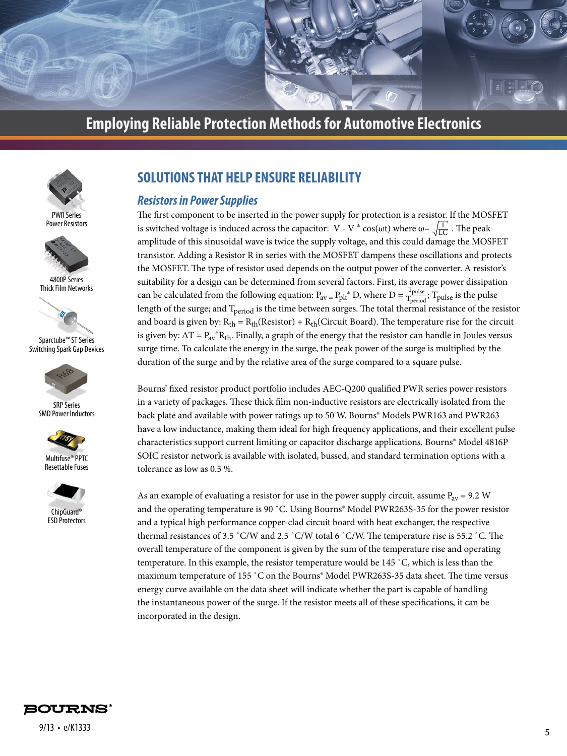



PWR Series Power Resistors



4800P Series Thick Film Networks



Sparctube™ ST Series Switching Spark Gap Devices



SRP Series SMD Power Inductors







ChipGuard® **ESD** Protectors

### **SOLUTIONS THAT HELP ENSURE RELIABILITY**

#### *Resistors in Power Supplies*

The first component to be inserted in the power supply for protection is a resistor. If the MOSFET is switched voltage is induced across the capacitor: V - V  $*$  cos( $\omega$ t) where  $\omega = \sqrt{\frac{1}{10}}$ . The peak amplitude of this sinusoidal wave is twice the supply voltage, and this could damage the MOSFET transistor. Adding a Resistor R in series with the MOSFET dampens these oscillations and protects the MOSFET. The type of resistor used depends on the output power of the converter. A resistor's suitability for a design can be determined from several factors. First, its average power dissipation can be calculated from the following equation:  $P_{av} = P_{pk}^* D$ , where  $D = \frac{T_{pulse}}{T_{period}}$ ;  $T_{pulse}$  is the pulse length of the surge; and T<sub>period</sub> is the time between surges. The total thermal resistance of the resistor and board is given by:  $R_{th} = R_{th}$ (Resistor) +  $R_{th}$ (Circuit Board). The temperature rise for the circuit is given by:  $\Delta T = P_{av} * R_{th}$ . Finally, a graph of the energy that the resistor can handle in Joules versus surge time. To calculate the energy in the surge, the peak power of the surge is multiplied by the duration of the surge and by the relative area of the surge compared to a square pulse. LC Tperiod

Bourns' fixed resistor product portfolio includes AEC-Q200 qualified PWR series power resistors in a variety of packages. These thick film non-inductive resistors are electrically isolated from the back plate and available with power ratings up to 50 W. Bourns® Models PWR163 and PWR263 have a low inductance, making them ideal for high frequency applications, and their excellent pulse characteristics support current limiting or capacitor discharge applications. Bourns® Model 4816P SOIC resistor network is available with isolated, bussed, and standard termination options with a tolerance as low as 0.5 %.

As an example of evaluating a resistor for use in the power supply circuit, assume  $P_{av} = 9.2$  W and the operating temperature is 90 ˚C. Using Bourns® Model PWR263S-35 for the power resistor and a typical high performance copper-clad circuit board with heat exchanger, the respective thermal resistances of 3.5 ˚C/W and 2.5 ˚C/W total 6 ˚C/W. The temperature rise is 55.2 ˚C. The overall temperature of the component is given by the sum of the temperature rise and operating temperature. In this example, the resistor temperature would be 145 ˚C, which is less than the maximum temperature of 155 ˚C on the Bourns® Model PWR263S-35 data sheet. The time versus energy curve available on the data sheet will indicate whether the part is capable of handling the instantaneous power of the surge. If the resistor meets all of these specifications, it can be incorporated in the design.

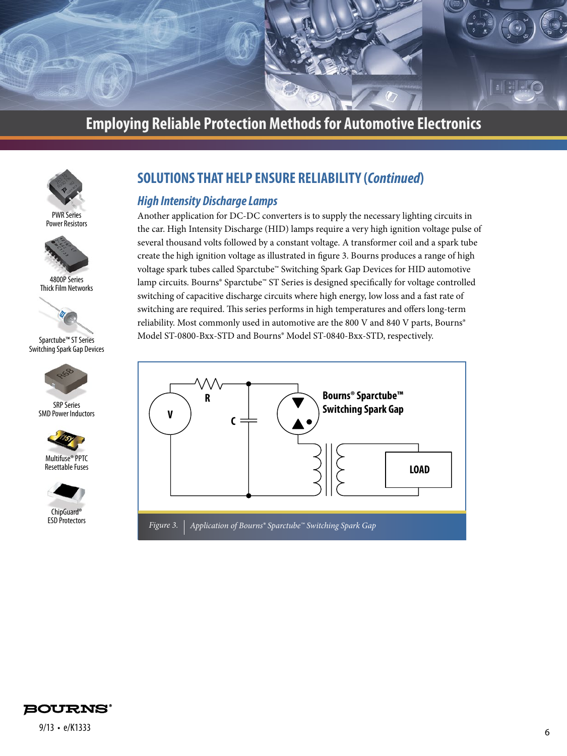



Power Resistors



4800P Series Thick Film Networks



Sparctube™ ST Series Switching Spark Gap Devices



SRP Series SMD Power Inductors





ChipGuard® ESD Protectors

### **SOLUTIONS THAT HELP ENSURE RELIABILITY (***Continued***)**

#### *High Intensity Discharge Lamps*

Another application for DC-DC converters is to supply the necessary lighting circuits in the car. High Intensity Discharge (HID) lamps require a very high ignition voltage pulse of several thousand volts followed by a constant voltage. A transformer coil and a spark tube create the high ignition voltage as illustrated in figure 3. Bourns produces a range of high voltage spark tubes called Sparctube™ Switching Spark Gap Devices for HID automotive lamp circuits. Bourns® Sparctube™ ST Series is designed specifically for voltage controlled switching of capacitive discharge circuits where high energy, low loss and a fast rate of switching are required. This series performs in high temperatures and offers long-term reliability. Most commonly used in automotive are the 800 V and 840 V parts, Bourns® Model ST-0800-Bxx-STD and Bourns® Model ST-0840-Bxx-STD, respectively.



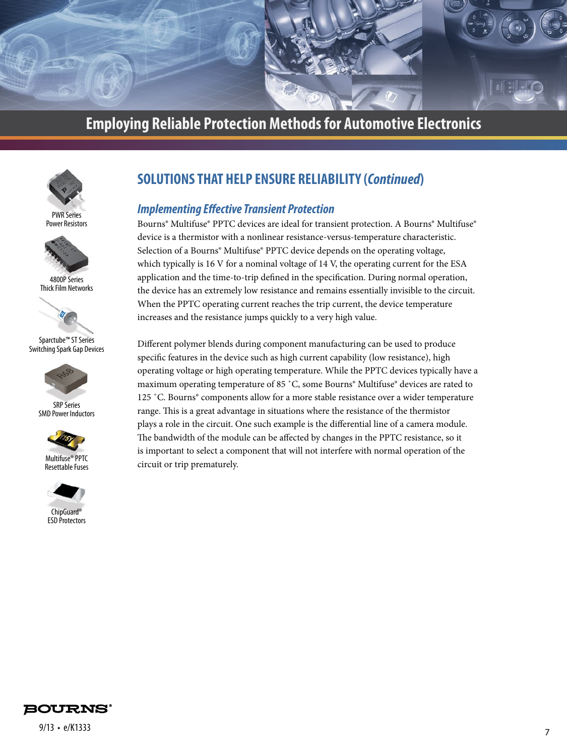



Power Resistors



4800P Series Thick Film Networks



Sparctube™ ST Series Switching Spark Gap Devices



SRP Series SMD Power Inductors



Resettable Fuses



ChipGuard® ESD Protectors

### **SOLUTIONS THAT HELP ENSURE RELIABILITY (***Continued***)**

#### *Implementing Effective Transient Protection*

Bourns® Multifuse® PPTC devices are ideal for transient protection. A Bourns® Multifuse® device is a thermistor with a nonlinear resistance-versus-temperature characteristic. Selection of a Bourns<sup>®</sup> Multifuse<sup>®</sup> PPTC device depends on the operating voltage, which typically is 16 V for a nominal voltage of 14 V, the operating current for the ESA application and the time-to-trip defined in the specification. During normal operation, the device has an extremely low resistance and remains essentially invisible to the circuit. When the PPTC operating current reaches the trip current, the device temperature increases and the resistance jumps quickly to a very high value.

Different polymer blends during component manufacturing can be used to produce specific features in the device such as high current capability (low resistance), high operating voltage or high operating temperature. While the PPTC devices typically have a maximum operating temperature of 85 ˚C, some Bourns® Multifuse® devices are rated to 125 ˚C. Bourns® components allow for a more stable resistance over a wider temperature range. This is a great advantage in situations where the resistance of the thermistor plays a role in the circuit. One such example is the differential line of a camera module. The bandwidth of the module can be affected by changes in the PPTC resistance, so it is important to select a component that will not interfere with normal operation of the circuit or trip prematurely.

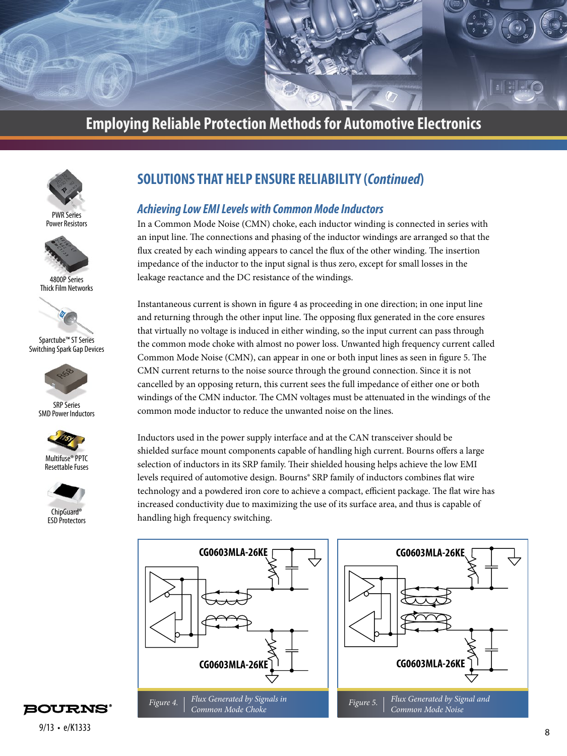



PWR Series Power Resistors



4800P Series Thick Film Networks



Sparctube™ ST Series Switching Spark Gap Devices



SRP Series SMD Power Inductors







ChipGuard® **ESD** Protectors

### **SOLUTIONS THAT HELP ENSURE RELIABILITY (***Continued***)**

#### *Achieving Low EMI Levels with Common Mode Inductors*

In a Common Mode Noise (CMN) choke, each inductor winding is connected in series with an input line. The connections and phasing of the inductor windings are arranged so that the flux created by each winding appears to cancel the flux of the other winding. The insertion impedance of the inductor to the input signal is thus zero, except for small losses in the leakage reactance and the DC resistance of the windings.

Instantaneous current is shown in figure 4 as proceeding in one direction; in one input line and returning through the other input line. The opposing flux generated in the core ensures that virtually no voltage is induced in either winding, so the input current can pass through the common mode choke with almost no power loss. Unwanted high frequency current called Common Mode Noise (CMN), can appear in one or both input lines as seen in figure 5. The CMN current returns to the noise source through the ground connection. Since it is not cancelled by an opposing return, this current sees the full impedance of either one or both windings of the CMN inductor. The CMN voltages must be attenuated in the windings of the common mode inductor to reduce the unwanted noise on the lines.

Inductors used in the power supply interface and at the CAN transceiver should be shielded surface mount components capable of handling high current. Bourns offers a large selection of inductors in its SRP family. Their shielded housing helps achieve the low EMI levels required of automotive design. Bourns® SRP family of inductors combines flat wire technology and a powdered iron core to achieve a compact, efficient package. The flat wire has increased conductivity due to maximizing the use of its surface area, and thus is capable of handling high frequency switching.



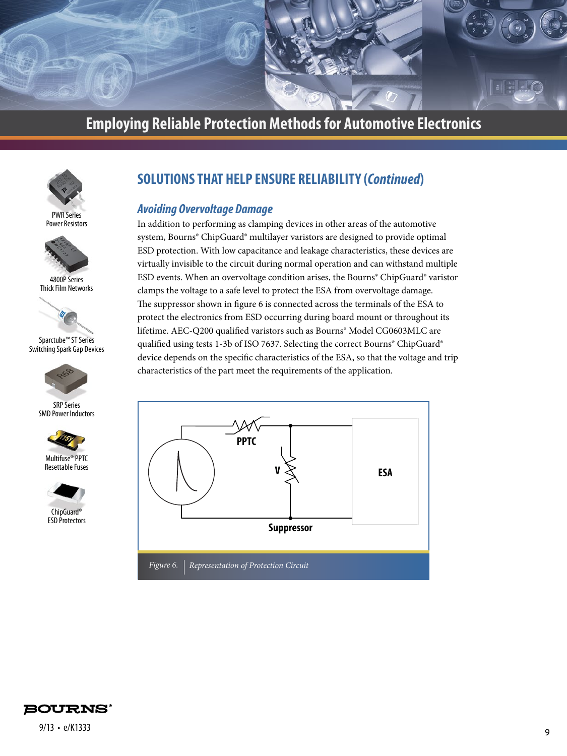



Power Resistors



4800P Series Thick Film Networks



Sparctube™ ST Series Switching Spark Gap Devices



SRP Series SMD Power Inductors



Resettable Fuses



ChipGuard® ESD Protectors

### **SOLUTIONS THAT HELP ENSURE RELIABILITY (***Continued***)**

#### *Avoiding Overvoltage Damage*

In addition to performing as clamping devices in other areas of the automotive system, Bourns® ChipGuard® multilayer varistors are designed to provide optimal ESD protection. With low capacitance and leakage characteristics, these devices are virtually invisible to the circuit during normal operation and can withstand multiple ESD events. When an overvoltage condition arises, the Bourns® ChipGuard® varistor clamps the voltage to a safe level to protect the ESA from overvoltage damage. The suppressor shown in figure 6 is connected across the terminals of the ESA to protect the electronics from ESD occurring during board mount or throughout its lifetime. AEC-Q200 qualified varistors such as Bourns® Model CG0603MLC are qualified using tests 1-3b of ISO 7637. Selecting the correct Bourns® ChipGuard® device depends on the specific characteristics of the ESA, so that the voltage and trip characteristics of the part meet the requirements of the application.